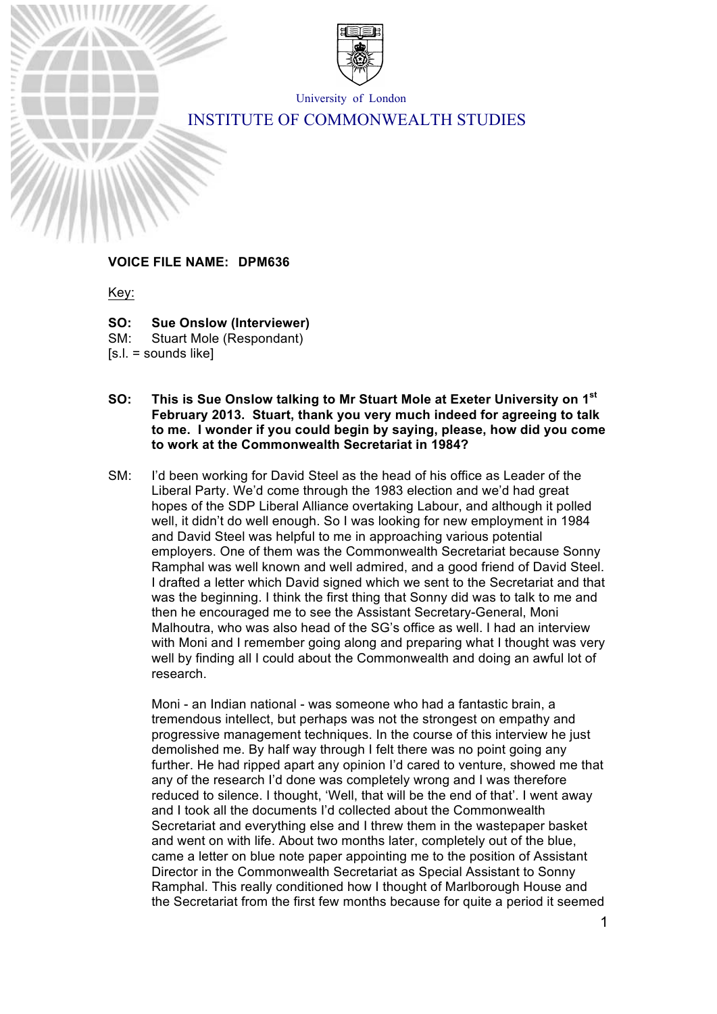

University of London

# INSTITUTE OF COMMONWEALTH STUDIES

# **VOICE FILE NAME: DPM636**

Key:

**SO: Sue Onslow (Interviewer)** SM: Stuart Mole (Respondant)

[s.l. = sounds like]

- **SO: This is Sue Onslow talking to Mr Stuart Mole at Exeter University on 1st February 2013. Stuart, thank you very much indeed for agreeing to talk to me. I wonder if you could begin by saying, please, how did you come to work at the Commonwealth Secretariat in 1984?**
- SM: I'd been working for David Steel as the head of his office as Leader of the Liberal Party. We'd come through the 1983 election and we'd had great hopes of the SDP Liberal Alliance overtaking Labour, and although it polled well, it didn't do well enough. So I was looking for new employment in 1984 and David Steel was helpful to me in approaching various potential employers. One of them was the Commonwealth Secretariat because Sonny Ramphal was well known and well admired, and a good friend of David Steel. I drafted a letter which David signed which we sent to the Secretariat and that was the beginning. I think the first thing that Sonny did was to talk to me and then he encouraged me to see the Assistant Secretary-General, Moni Malhoutra, who was also head of the SG's office as well. I had an interview with Moni and I remember going along and preparing what I thought was very well by finding all I could about the Commonwealth and doing an awful lot of research.

Moni - an Indian national - was someone who had a fantastic brain, a tremendous intellect, but perhaps was not the strongest on empathy and progressive management techniques. In the course of this interview he just demolished me. By half way through I felt there was no point going any further. He had ripped apart any opinion I'd cared to venture, showed me that any of the research I'd done was completely wrong and I was therefore reduced to silence. I thought, 'Well, that will be the end of that'. I went away and I took all the documents I'd collected about the Commonwealth Secretariat and everything else and I threw them in the wastepaper basket and went on with life. About two months later, completely out of the blue, came a letter on blue note paper appointing me to the position of Assistant Director in the Commonwealth Secretariat as Special Assistant to Sonny Ramphal. This really conditioned how I thought of Marlborough House and the Secretariat from the first few months because for quite a period it seemed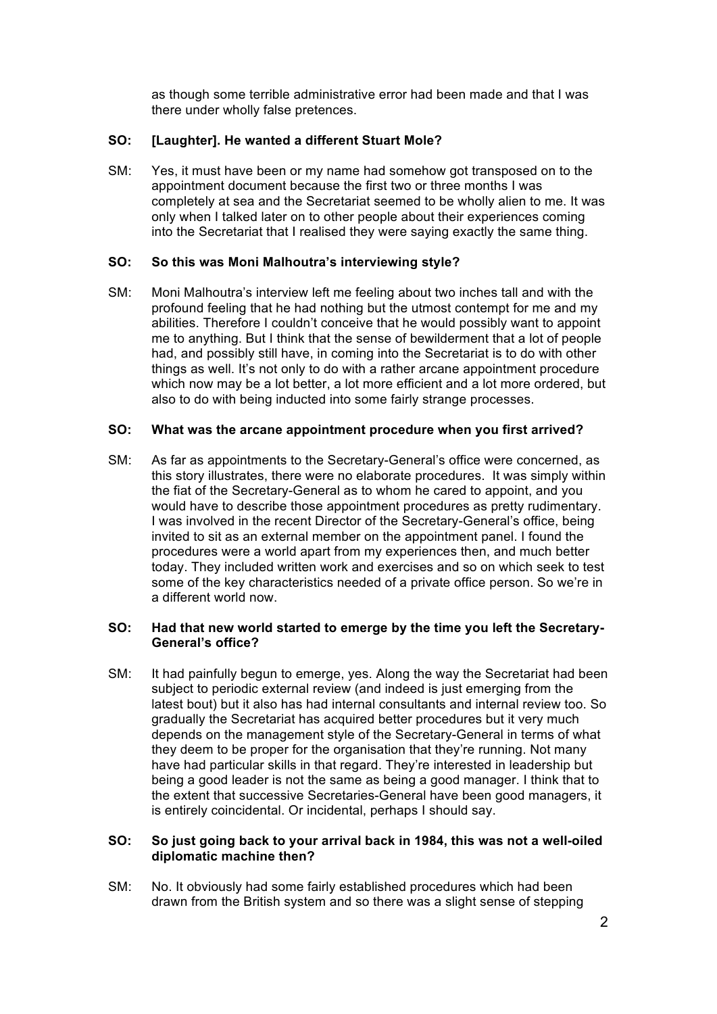as though some terrible administrative error had been made and that I was there under wholly false pretences.

# **SO: [Laughter]. He wanted a different Stuart Mole?**

SM: Yes, it must have been or my name had somehow got transposed on to the appointment document because the first two or three months I was completely at sea and the Secretariat seemed to be wholly alien to me. It was only when I talked later on to other people about their experiences coming into the Secretariat that I realised they were saying exactly the same thing.

## **SO: So this was Moni Malhoutra's interviewing style?**

SM: Moni Malhoutra's interview left me feeling about two inches tall and with the profound feeling that he had nothing but the utmost contempt for me and my abilities. Therefore I couldn't conceive that he would possibly want to appoint me to anything. But I think that the sense of bewilderment that a lot of people had, and possibly still have, in coming into the Secretariat is to do with other things as well. It's not only to do with a rather arcane appointment procedure which now may be a lot better, a lot more efficient and a lot more ordered, but also to do with being inducted into some fairly strange processes.

#### **SO: What was the arcane appointment procedure when you first arrived?**

SM: As far as appointments to the Secretary-General's office were concerned, as this story illustrates, there were no elaborate procedures. It was simply within the fiat of the Secretary-General as to whom he cared to appoint, and you would have to describe those appointment procedures as pretty rudimentary. I was involved in the recent Director of the Secretary-General's office, being invited to sit as an external member on the appointment panel. I found the procedures were a world apart from my experiences then, and much better today. They included written work and exercises and so on which seek to test some of the key characteristics needed of a private office person. So we're in a different world now.

## **SO: Had that new world started to emerge by the time you left the Secretary-General's office?**

SM: It had painfully begun to emerge, yes. Along the way the Secretariat had been subject to periodic external review (and indeed is just emerging from the latest bout) but it also has had internal consultants and internal review too. So gradually the Secretariat has acquired better procedures but it very much depends on the management style of the Secretary-General in terms of what they deem to be proper for the organisation that they're running. Not many have had particular skills in that regard. They're interested in leadership but being a good leader is not the same as being a good manager. I think that to the extent that successive Secretaries-General have been good managers, it is entirely coincidental. Or incidental, perhaps I should say.

## **SO: So just going back to your arrival back in 1984, this was not a well-oiled diplomatic machine then?**

SM: No. It obviously had some fairly established procedures which had been drawn from the British system and so there was a slight sense of stepping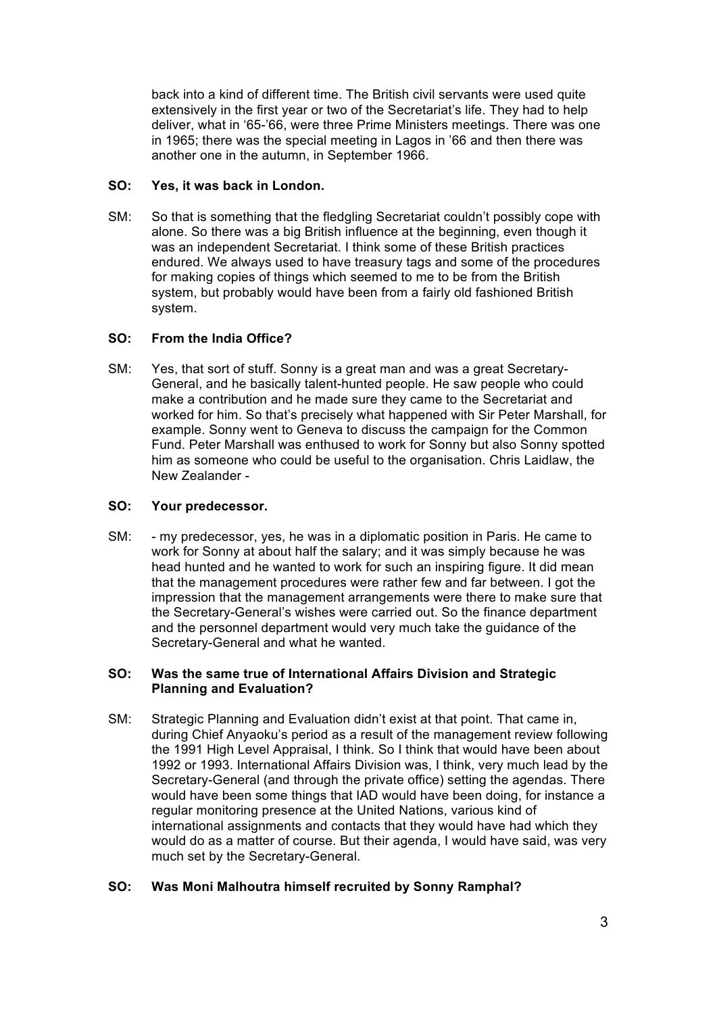back into a kind of different time. The British civil servants were used quite extensively in the first year or two of the Secretariat's life. They had to help deliver, what in '65-'66, were three Prime Ministers meetings. There was one in 1965; there was the special meeting in Lagos in '66 and then there was another one in the autumn, in September 1966.

# **SO: Yes, it was back in London.**

SM: So that is something that the fledgling Secretariat couldn't possibly cope with alone. So there was a big British influence at the beginning, even though it was an independent Secretariat. I think some of these British practices endured. We always used to have treasury tags and some of the procedures for making copies of things which seemed to me to be from the British system, but probably would have been from a fairly old fashioned British system.

# **SO: From the India Office?**

SM: Yes, that sort of stuff. Sonny is a great man and was a great Secretary-General, and he basically talent-hunted people. He saw people who could make a contribution and he made sure they came to the Secretariat and worked for him. So that's precisely what happened with Sir Peter Marshall, for example. Sonny went to Geneva to discuss the campaign for the Common Fund. Peter Marshall was enthused to work for Sonny but also Sonny spotted him as someone who could be useful to the organisation. Chris Laidlaw, the New Zealander -

# **SO: Your predecessor.**

SM: - my predecessor, yes, he was in a diplomatic position in Paris. He came to work for Sonny at about half the salary; and it was simply because he was head hunted and he wanted to work for such an inspiring figure. It did mean that the management procedures were rather few and far between. I got the impression that the management arrangements were there to make sure that the Secretary-General's wishes were carried out. So the finance department and the personnel department would very much take the guidance of the Secretary-General and what he wanted.

# **SO: Was the same true of International Affairs Division and Strategic Planning and Evaluation?**

SM: Strategic Planning and Evaluation didn't exist at that point. That came in, during Chief Anyaoku's period as a result of the management review following the 1991 High Level Appraisal, I think. So I think that would have been about 1992 or 1993. International Affairs Division was, I think, very much lead by the Secretary-General (and through the private office) setting the agendas. There would have been some things that IAD would have been doing, for instance a regular monitoring presence at the United Nations, various kind of international assignments and contacts that they would have had which they would do as a matter of course. But their agenda, I would have said, was very much set by the Secretary-General.

# **SO: Was Moni Malhoutra himself recruited by Sonny Ramphal?**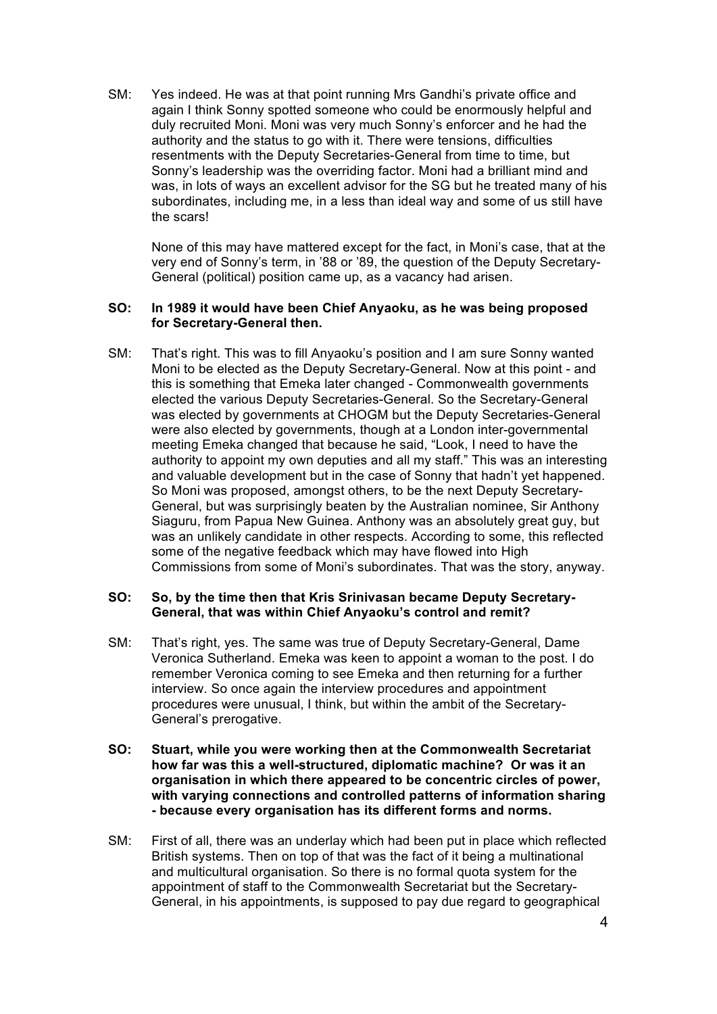SM: Yes indeed. He was at that point running Mrs Gandhi's private office and again I think Sonny spotted someone who could be enormously helpful and duly recruited Moni. Moni was very much Sonny's enforcer and he had the authority and the status to go with it. There were tensions, difficulties resentments with the Deputy Secretaries-General from time to time, but Sonny's leadership was the overriding factor. Moni had a brilliant mind and was, in lots of ways an excellent advisor for the SG but he treated many of his subordinates, including me, in a less than ideal way and some of us still have the scars!

None of this may have mattered except for the fact, in Moni's case, that at the very end of Sonny's term, in '88 or '89, the question of the Deputy Secretary-General (political) position came up, as a vacancy had arisen.

#### **SO: In 1989 it would have been Chief Anyaoku, as he was being proposed for Secretary-General then.**

SM: That's right. This was to fill Anyaoku's position and I am sure Sonny wanted Moni to be elected as the Deputy Secretary-General. Now at this point - and this is something that Emeka later changed - Commonwealth governments elected the various Deputy Secretaries-General. So the Secretary-General was elected by governments at CHOGM but the Deputy Secretaries-General were also elected by governments, though at a London inter-governmental meeting Emeka changed that because he said, "Look, I need to have the authority to appoint my own deputies and all my staff." This was an interesting and valuable development but in the case of Sonny that hadn't yet happened. So Moni was proposed, amongst others, to be the next Deputy Secretary-General, but was surprisingly beaten by the Australian nominee, Sir Anthony Siaguru, from Papua New Guinea. Anthony was an absolutely great guy, but was an unlikely candidate in other respects. According to some, this reflected some of the negative feedback which may have flowed into High Commissions from some of Moni's subordinates. That was the story, anyway.

#### **SO: So, by the time then that Kris Srinivasan became Deputy Secretary-General, that was within Chief Anyaoku's control and remit?**

- SM: That's right, yes. The same was true of Deputy Secretary-General, Dame Veronica Sutherland. Emeka was keen to appoint a woman to the post. I do remember Veronica coming to see Emeka and then returning for a further interview. So once again the interview procedures and appointment procedures were unusual, I think, but within the ambit of the Secretary-General's prerogative.
- **SO: Stuart, while you were working then at the Commonwealth Secretariat how far was this a well-structured, diplomatic machine? Or was it an organisation in which there appeared to be concentric circles of power, with varying connections and controlled patterns of information sharing - because every organisation has its different forms and norms.**
- SM: First of all, there was an underlay which had been put in place which reflected British systems. Then on top of that was the fact of it being a multinational and multicultural organisation. So there is no formal quota system for the appointment of staff to the Commonwealth Secretariat but the Secretary-General, in his appointments, is supposed to pay due regard to geographical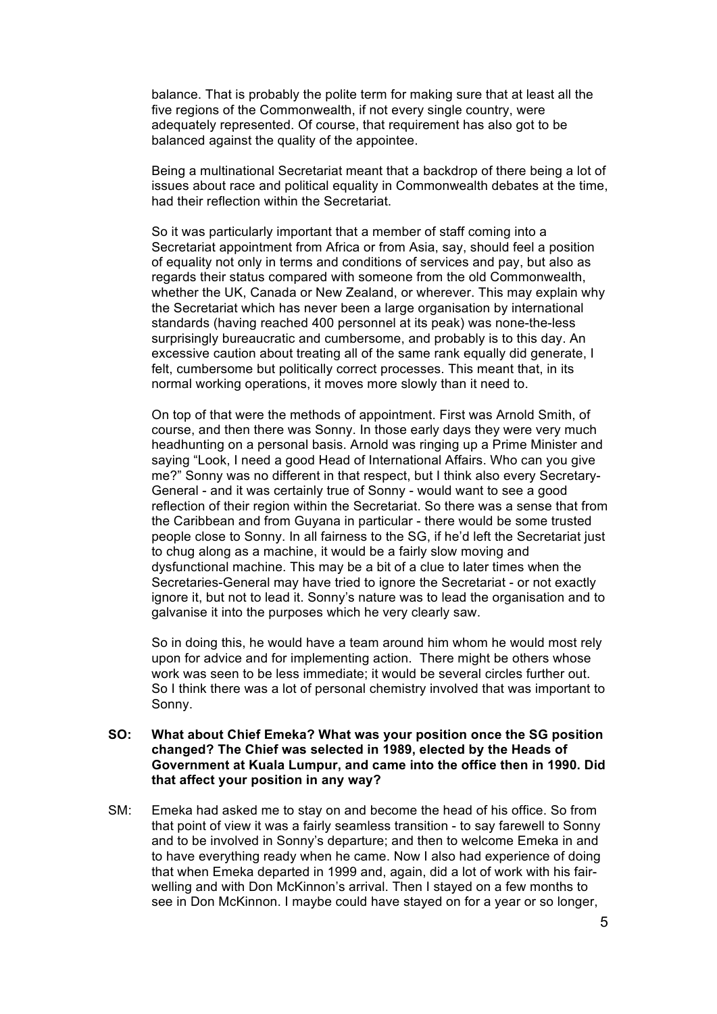balance. That is probably the polite term for making sure that at least all the five regions of the Commonwealth, if not every single country, were adequately represented. Of course, that requirement has also got to be balanced against the quality of the appointee.

Being a multinational Secretariat meant that a backdrop of there being a lot of issues about race and political equality in Commonwealth debates at the time, had their reflection within the Secretariat.

So it was particularly important that a member of staff coming into a Secretariat appointment from Africa or from Asia, say, should feel a position of equality not only in terms and conditions of services and pay, but also as regards their status compared with someone from the old Commonwealth, whether the UK, Canada or New Zealand, or wherever. This may explain why the Secretariat which has never been a large organisation by international standards (having reached 400 personnel at its peak) was none-the-less surprisingly bureaucratic and cumbersome, and probably is to this day. An excessive caution about treating all of the same rank equally did generate, I felt, cumbersome but politically correct processes. This meant that, in its normal working operations, it moves more slowly than it need to.

On top of that were the methods of appointment. First was Arnold Smith, of course, and then there was Sonny. In those early days they were very much headhunting on a personal basis. Arnold was ringing up a Prime Minister and saying "Look, I need a good Head of International Affairs. Who can you give me?" Sonny was no different in that respect, but I think also every Secretary-General - and it was certainly true of Sonny - would want to see a good reflection of their region within the Secretariat. So there was a sense that from the Caribbean and from Guyana in particular - there would be some trusted people close to Sonny. In all fairness to the SG, if he'd left the Secretariat just to chug along as a machine, it would be a fairly slow moving and dysfunctional machine. This may be a bit of a clue to later times when the Secretaries-General may have tried to ignore the Secretariat - or not exactly ignore it, but not to lead it. Sonny's nature was to lead the organisation and to galvanise it into the purposes which he very clearly saw.

So in doing this, he would have a team around him whom he would most rely upon for advice and for implementing action. There might be others whose work was seen to be less immediate; it would be several circles further out. So I think there was a lot of personal chemistry involved that was important to Sonny.

#### **SO: What about Chief Emeka? What was your position once the SG position changed? The Chief was selected in 1989, elected by the Heads of Government at Kuala Lumpur, and came into the office then in 1990. Did that affect your position in any way?**

SM: Emeka had asked me to stay on and become the head of his office. So from that point of view it was a fairly seamless transition - to say farewell to Sonny and to be involved in Sonny's departure; and then to welcome Emeka in and to have everything ready when he came. Now I also had experience of doing that when Emeka departed in 1999 and, again, did a lot of work with his fairwelling and with Don McKinnon's arrival. Then I stayed on a few months to see in Don McKinnon. I maybe could have stayed on for a year or so longer,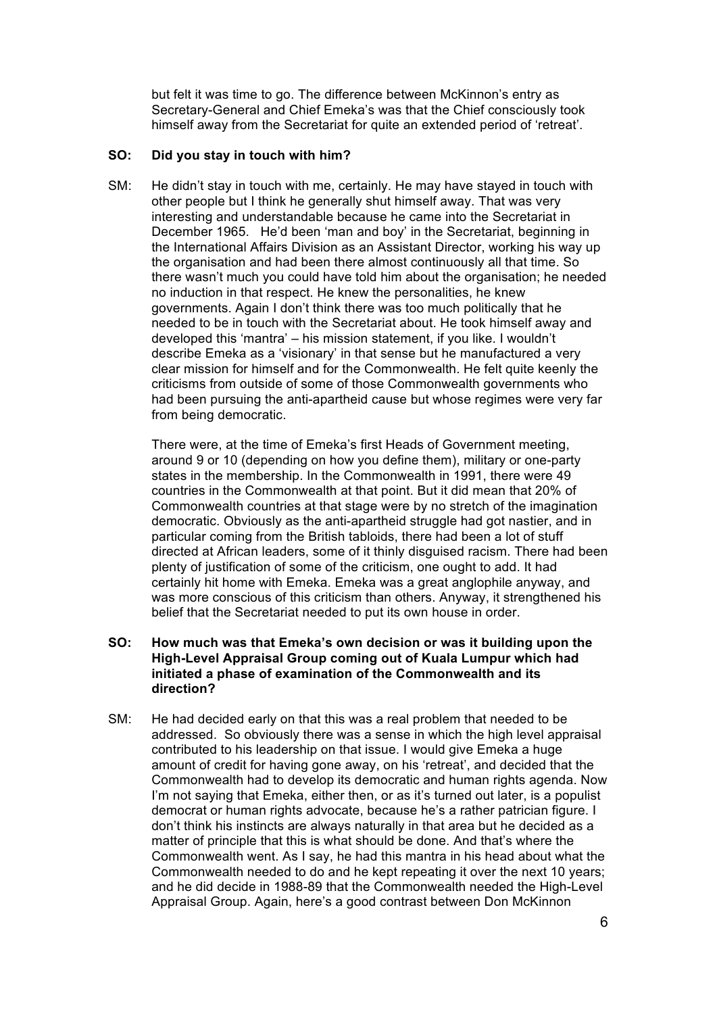but felt it was time to go. The difference between McKinnon's entry as Secretary-General and Chief Emeka's was that the Chief consciously took himself away from the Secretariat for quite an extended period of 'retreat'.

## **SO: Did you stay in touch with him?**

SM: He didn't stay in touch with me, certainly. He may have stayed in touch with other people but I think he generally shut himself away. That was very interesting and understandable because he came into the Secretariat in December 1965. He'd been 'man and boy' in the Secretariat, beginning in the International Affairs Division as an Assistant Director, working his way up the organisation and had been there almost continuously all that time. So there wasn't much you could have told him about the organisation; he needed no induction in that respect. He knew the personalities, he knew governments. Again I don't think there was too much politically that he needed to be in touch with the Secretariat about. He took himself away and developed this 'mantra' – his mission statement, if you like. I wouldn't describe Emeka as a 'visionary' in that sense but he manufactured a very clear mission for himself and for the Commonwealth. He felt quite keenly the criticisms from outside of some of those Commonwealth governments who had been pursuing the anti-apartheid cause but whose regimes were very far from being democratic.

There were, at the time of Emeka's first Heads of Government meeting, around 9 or 10 (depending on how you define them), military or one-party states in the membership. In the Commonwealth in 1991, there were 49 countries in the Commonwealth at that point. But it did mean that 20% of Commonwealth countries at that stage were by no stretch of the imagination democratic. Obviously as the anti-apartheid struggle had got nastier, and in particular coming from the British tabloids, there had been a lot of stuff directed at African leaders, some of it thinly disguised racism. There had been plenty of justification of some of the criticism, one ought to add. It had certainly hit home with Emeka. Emeka was a great anglophile anyway, and was more conscious of this criticism than others. Anyway, it strengthened his belief that the Secretariat needed to put its own house in order.

## **SO: How much was that Emeka's own decision or was it building upon the High-Level Appraisal Group coming out of Kuala Lumpur which had initiated a phase of examination of the Commonwealth and its direction?**

SM: He had decided early on that this was a real problem that needed to be addressed. So obviously there was a sense in which the high level appraisal contributed to his leadership on that issue. I would give Emeka a huge amount of credit for having gone away, on his 'retreat', and decided that the Commonwealth had to develop its democratic and human rights agenda. Now I'm not saying that Emeka, either then, or as it's turned out later, is a populist democrat or human rights advocate, because he's a rather patrician figure. I don't think his instincts are always naturally in that area but he decided as a matter of principle that this is what should be done. And that's where the Commonwealth went. As I say, he had this mantra in his head about what the Commonwealth needed to do and he kept repeating it over the next 10 years; and he did decide in 1988-89 that the Commonwealth needed the High-Level Appraisal Group. Again, here's a good contrast between Don McKinnon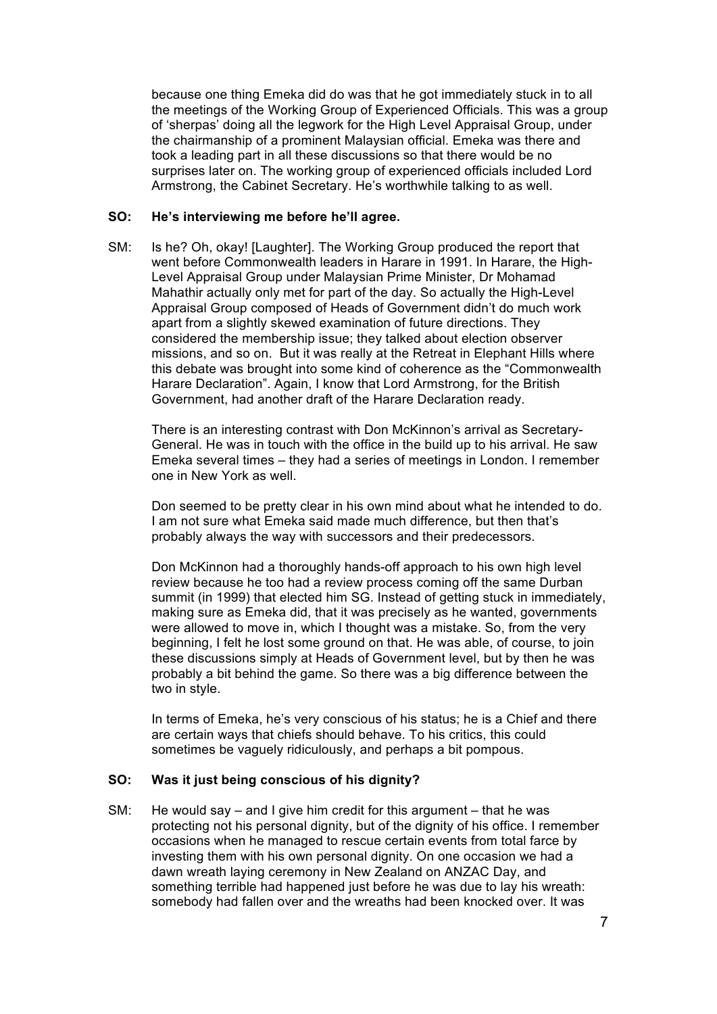because one thing Emeka did do was that he got immediately stuck in to all the meetings of the Working Group of Experienced Officials. This was a group of 'sherpas' doing all the legwork for the High Level Appraisal Group, under the chairmanship of a prominent Malaysian official. Emeka was there and took a leading part in all these discussions so that there would be no surprises later on. The working group of experienced officials included Lord Armstrong, the Cabinet Secretary. He's worthwhile talking to as well.

#### **SO: He's interviewing me before he'll agree.**

SM: Is he? Oh, okay! [Laughter]. The Working Group produced the report that went before Commonwealth leaders in Harare in 1991. In Harare, the High-Level Appraisal Group under Malaysian Prime Minister, Dr Mohamad Mahathir actually only met for part of the day. So actually the High-Level Appraisal Group composed of Heads of Government didn't do much work apart from a slightly skewed examination of future directions. They considered the membership issue; they talked about election observer missions, and so on. But it was really at the Retreat in Elephant Hills where this debate was brought into some kind of coherence as the "Commonwealth Harare Declaration". Again, I know that Lord Armstrong, for the British Government, had another draft of the Harare Declaration ready.

There is an interesting contrast with Don McKinnon's arrival as Secretary-General. He was in touch with the office in the build up to his arrival. He saw Emeka several times – they had a series of meetings in London. I remember one in New York as well.

Don seemed to be pretty clear in his own mind about what he intended to do. I am not sure what Emeka said made much difference, but then that's probably always the way with successors and their predecessors.

Don McKinnon had a thoroughly hands-off approach to his own high level review because he too had a review process coming off the same Durban summit (in 1999) that elected him SG. Instead of getting stuck in immediately, making sure as Emeka did, that it was precisely as he wanted, governments were allowed to move in, which I thought was a mistake. So, from the very beginning, I felt he lost some ground on that. He was able, of course, to join these discussions simply at Heads of Government level, but by then he was probably a bit behind the game. So there was a big difference between the two in style.

In terms of Emeka, he's very conscious of his status; he is a Chief and there are certain ways that chiefs should behave. To his critics, this could sometimes be vaguely ridiculously, and perhaps a bit pompous.

#### **SO: Was it just being conscious of his dignity?**

SM: He would say – and I give him credit for this argument – that he was protecting not his personal dignity, but of the dignity of his office. I remember occasions when he managed to rescue certain events from total farce by investing them with his own personal dignity. On one occasion we had a dawn wreath laying ceremony in New Zealand on ANZAC Day, and something terrible had happened just before he was due to lay his wreath: somebody had fallen over and the wreaths had been knocked over. It was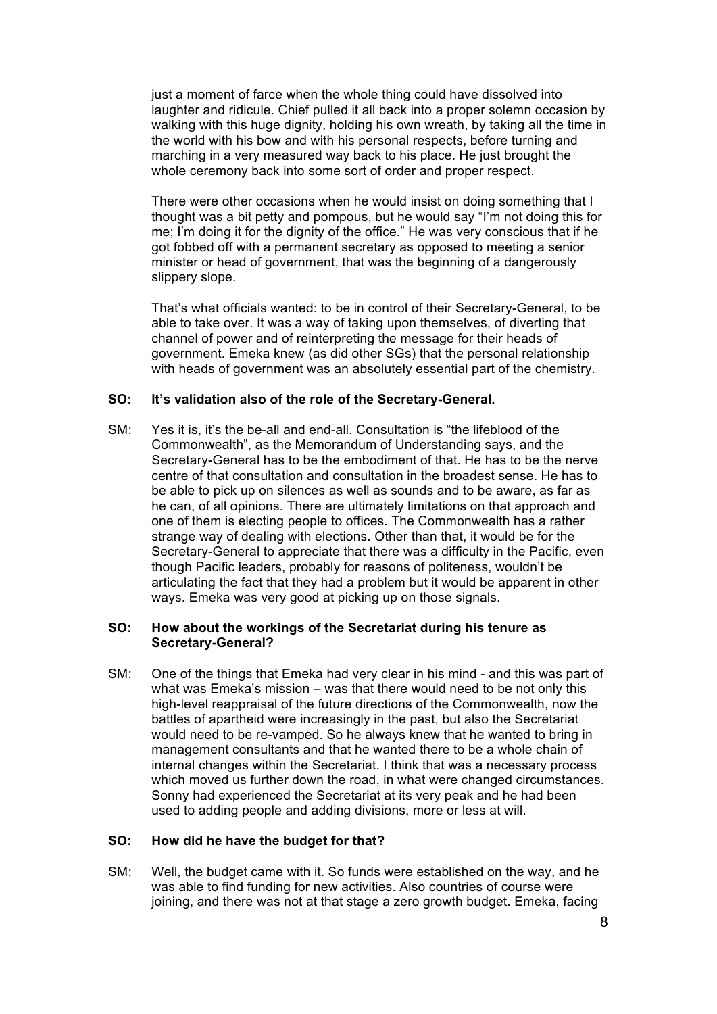just a moment of farce when the whole thing could have dissolved into laughter and ridicule. Chief pulled it all back into a proper solemn occasion by walking with this huge dignity, holding his own wreath, by taking all the time in the world with his bow and with his personal respects, before turning and marching in a very measured way back to his place. He just brought the whole ceremony back into some sort of order and proper respect.

There were other occasions when he would insist on doing something that I thought was a bit petty and pompous, but he would say "I'm not doing this for me; I'm doing it for the dignity of the office." He was very conscious that if he got fobbed off with a permanent secretary as opposed to meeting a senior minister or head of government, that was the beginning of a dangerously slippery slope.

That's what officials wanted: to be in control of their Secretary-General, to be able to take over. It was a way of taking upon themselves, of diverting that channel of power and of reinterpreting the message for their heads of government. Emeka knew (as did other SGs) that the personal relationship with heads of government was an absolutely essential part of the chemistry.

## **SO: It's validation also of the role of the Secretary-General.**

SM: Yes it is, it's the be-all and end-all. Consultation is "the lifeblood of the Commonwealth", as the Memorandum of Understanding says, and the Secretary-General has to be the embodiment of that. He has to be the nerve centre of that consultation and consultation in the broadest sense. He has to be able to pick up on silences as well as sounds and to be aware, as far as he can, of all opinions. There are ultimately limitations on that approach and one of them is electing people to offices. The Commonwealth has a rather strange way of dealing with elections. Other than that, it would be for the Secretary-General to appreciate that there was a difficulty in the Pacific, even though Pacific leaders, probably for reasons of politeness, wouldn't be articulating the fact that they had a problem but it would be apparent in other ways. Emeka was very good at picking up on those signals.

## **SO: How about the workings of the Secretariat during his tenure as Secretary-General?**

SM: One of the things that Emeka had very clear in his mind - and this was part of what was Emeka's mission – was that there would need to be not only this high-level reappraisal of the future directions of the Commonwealth, now the battles of apartheid were increasingly in the past, but also the Secretariat would need to be re-vamped. So he always knew that he wanted to bring in management consultants and that he wanted there to be a whole chain of internal changes within the Secretariat. I think that was a necessary process which moved us further down the road, in what were changed circumstances. Sonny had experienced the Secretariat at its very peak and he had been used to adding people and adding divisions, more or less at will.

#### **SO: How did he have the budget for that?**

SM: Well, the budget came with it. So funds were established on the way, and he was able to find funding for new activities. Also countries of course were joining, and there was not at that stage a zero growth budget. Emeka, facing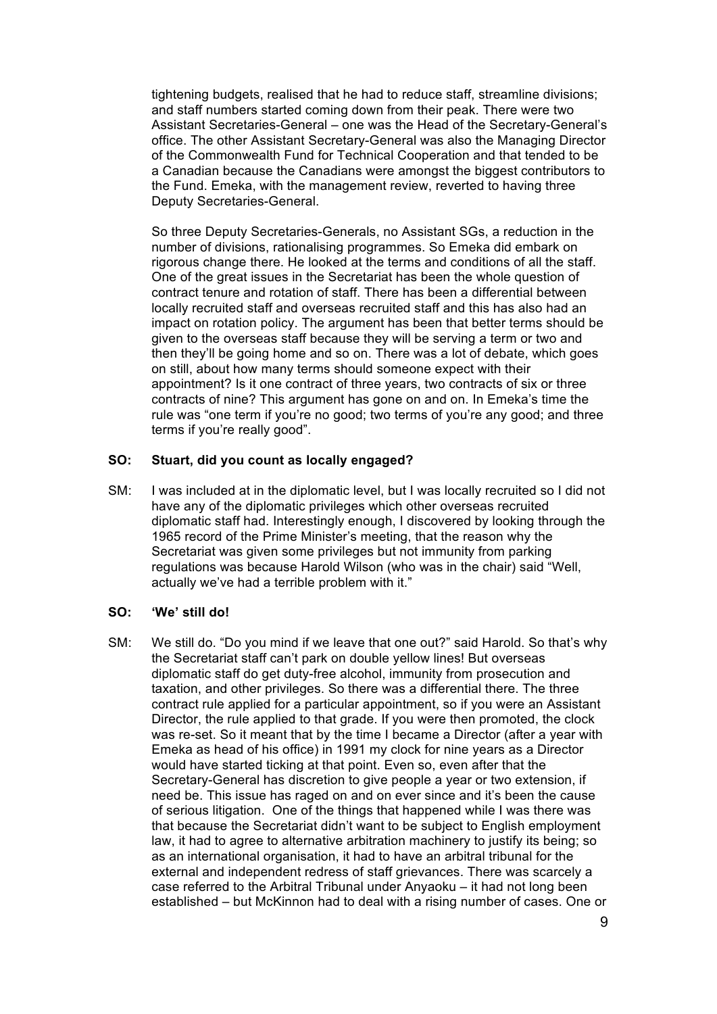tightening budgets, realised that he had to reduce staff, streamline divisions; and staff numbers started coming down from their peak. There were two Assistant Secretaries-General – one was the Head of the Secretary-General's office. The other Assistant Secretary-General was also the Managing Director of the Commonwealth Fund for Technical Cooperation and that tended to be a Canadian because the Canadians were amongst the biggest contributors to the Fund. Emeka, with the management review, reverted to having three Deputy Secretaries-General.

So three Deputy Secretaries-Generals, no Assistant SGs, a reduction in the number of divisions, rationalising programmes. So Emeka did embark on rigorous change there. He looked at the terms and conditions of all the staff. One of the great issues in the Secretariat has been the whole question of contract tenure and rotation of staff. There has been a differential between locally recruited staff and overseas recruited staff and this has also had an impact on rotation policy. The argument has been that better terms should be given to the overseas staff because they will be serving a term or two and then they'll be going home and so on. There was a lot of debate, which goes on still, about how many terms should someone expect with their appointment? Is it one contract of three years, two contracts of six or three contracts of nine? This argument has gone on and on. In Emeka's time the rule was "one term if you're no good; two terms of you're any good; and three terms if you're really good".

## **SO: Stuart, did you count as locally engaged?**

SM: I was included at in the diplomatic level, but I was locally recruited so I did not have any of the diplomatic privileges which other overseas recruited diplomatic staff had. Interestingly enough, I discovered by looking through the 1965 record of the Prime Minister's meeting, that the reason why the Secretariat was given some privileges but not immunity from parking regulations was because Harold Wilson (who was in the chair) said "Well, actually we've had a terrible problem with it."

#### **SO: 'We' still do!**

SM: We still do. "Do you mind if we leave that one out?" said Harold. So that's why the Secretariat staff can't park on double yellow lines! But overseas diplomatic staff do get duty-free alcohol, immunity from prosecution and taxation, and other privileges. So there was a differential there. The three contract rule applied for a particular appointment, so if you were an Assistant Director, the rule applied to that grade. If you were then promoted, the clock was re-set. So it meant that by the time I became a Director (after a year with Emeka as head of his office) in 1991 my clock for nine years as a Director would have started ticking at that point. Even so, even after that the Secretary-General has discretion to give people a year or two extension, if need be. This issue has raged on and on ever since and it's been the cause of serious litigation. One of the things that happened while I was there was that because the Secretariat didn't want to be subject to English employment law, it had to agree to alternative arbitration machinery to justify its being; so as an international organisation, it had to have an arbitral tribunal for the external and independent redress of staff grievances. There was scarcely a case referred to the Arbitral Tribunal under Anyaoku – it had not long been established – but McKinnon had to deal with a rising number of cases. One or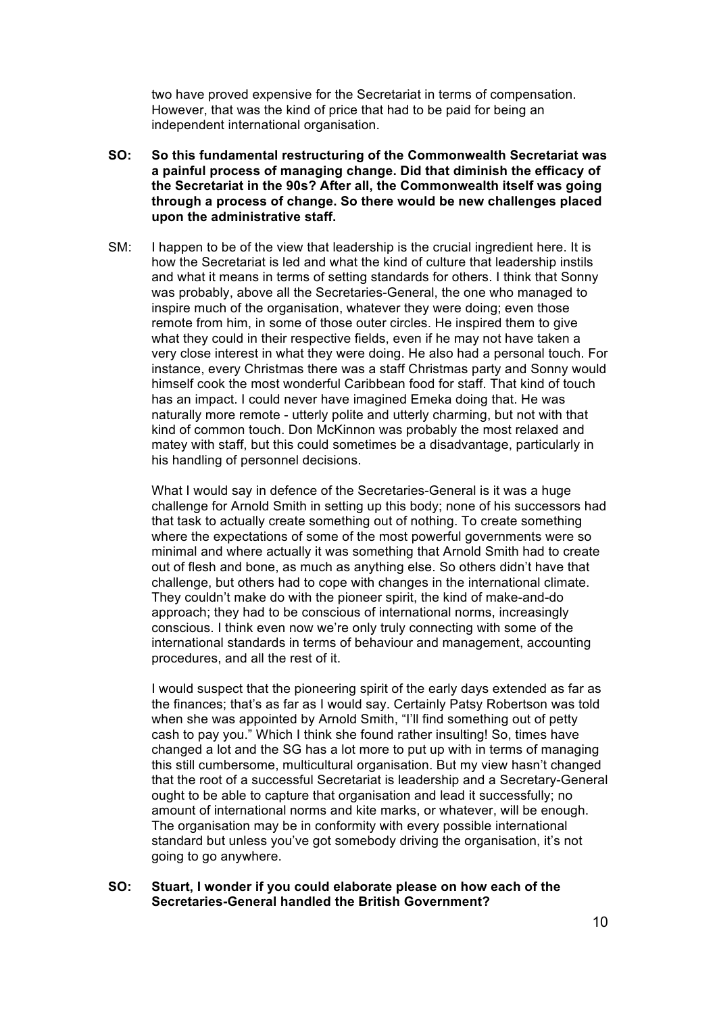two have proved expensive for the Secretariat in terms of compensation. However, that was the kind of price that had to be paid for being an independent international organisation.

- **SO: So this fundamental restructuring of the Commonwealth Secretariat was a painful process of managing change. Did that diminish the efficacy of the Secretariat in the 90s? After all, the Commonwealth itself was going through a process of change. So there would be new challenges placed upon the administrative staff.**
- SM: I happen to be of the view that leadership is the crucial ingredient here. It is how the Secretariat is led and what the kind of culture that leadership instils and what it means in terms of setting standards for others. I think that Sonny was probably, above all the Secretaries-General, the one who managed to inspire much of the organisation, whatever they were doing; even those remote from him, in some of those outer circles. He inspired them to give what they could in their respective fields, even if he may not have taken a very close interest in what they were doing. He also had a personal touch. For instance, every Christmas there was a staff Christmas party and Sonny would himself cook the most wonderful Caribbean food for staff. That kind of touch has an impact. I could never have imagined Emeka doing that. He was naturally more remote - utterly polite and utterly charming, but not with that kind of common touch. Don McKinnon was probably the most relaxed and matey with staff, but this could sometimes be a disadvantage, particularly in his handling of personnel decisions.

What I would say in defence of the Secretaries-General is it was a huge challenge for Arnold Smith in setting up this body; none of his successors had that task to actually create something out of nothing. To create something where the expectations of some of the most powerful governments were so minimal and where actually it was something that Arnold Smith had to create out of flesh and bone, as much as anything else. So others didn't have that challenge, but others had to cope with changes in the international climate. They couldn't make do with the pioneer spirit, the kind of make-and-do approach; they had to be conscious of international norms, increasingly conscious. I think even now we're only truly connecting with some of the international standards in terms of behaviour and management, accounting procedures, and all the rest of it.

I would suspect that the pioneering spirit of the early days extended as far as the finances; that's as far as I would say. Certainly Patsy Robertson was told when she was appointed by Arnold Smith, "I'll find something out of petty cash to pay you." Which I think she found rather insulting! So, times have changed a lot and the SG has a lot more to put up with in terms of managing this still cumbersome, multicultural organisation. But my view hasn't changed that the root of a successful Secretariat is leadership and a Secretary-General ought to be able to capture that organisation and lead it successfully; no amount of international norms and kite marks, or whatever, will be enough. The organisation may be in conformity with every possible international standard but unless you've got somebody driving the organisation, it's not going to go anywhere.

**SO: Stuart, I wonder if you could elaborate please on how each of the Secretaries-General handled the British Government?**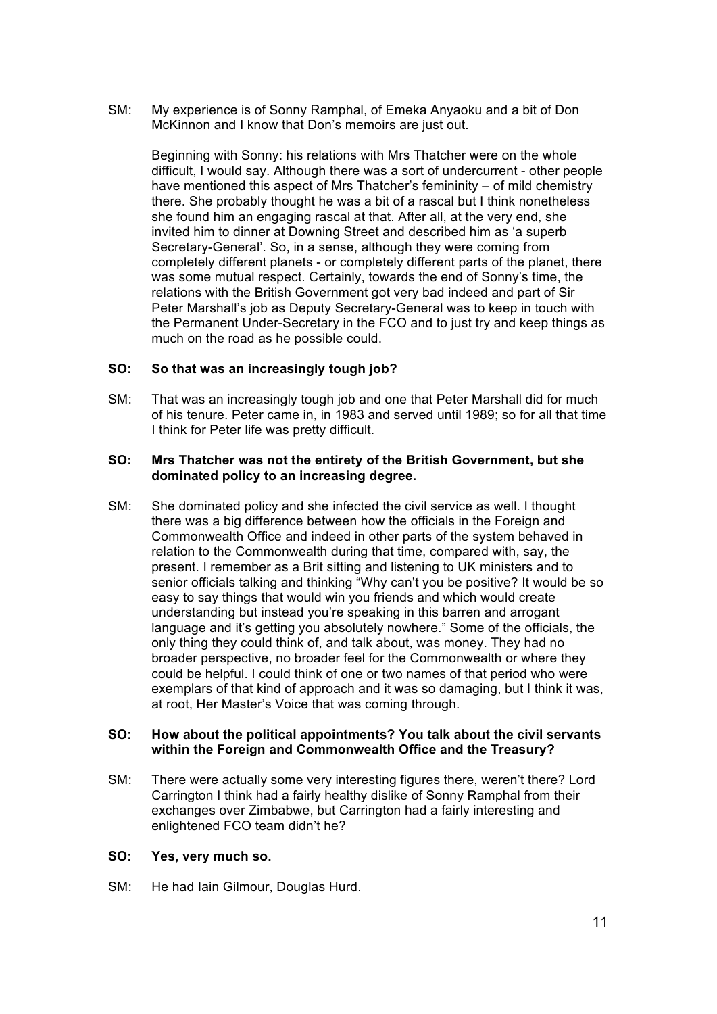SM: My experience is of Sonny Ramphal, of Emeka Anyaoku and a bit of Don McKinnon and I know that Don's memoirs are just out.

Beginning with Sonny: his relations with Mrs Thatcher were on the whole difficult, I would say. Although there was a sort of undercurrent - other people have mentioned this aspect of Mrs Thatcher's femininity – of mild chemistry there. She probably thought he was a bit of a rascal but I think nonetheless she found him an engaging rascal at that. After all, at the very end, she invited him to dinner at Downing Street and described him as 'a superb Secretary-General'. So, in a sense, although they were coming from completely different planets - or completely different parts of the planet, there was some mutual respect. Certainly, towards the end of Sonny's time, the relations with the British Government got very bad indeed and part of Sir Peter Marshall's job as Deputy Secretary-General was to keep in touch with the Permanent Under-Secretary in the FCO and to just try and keep things as much on the road as he possible could.

## **SO: So that was an increasingly tough job?**

SM: That was an increasingly tough job and one that Peter Marshall did for much of his tenure. Peter came in, in 1983 and served until 1989; so for all that time I think for Peter life was pretty difficult.

#### **SO: Mrs Thatcher was not the entirety of the British Government, but she dominated policy to an increasing degree.**

SM: She dominated policy and she infected the civil service as well. I thought there was a big difference between how the officials in the Foreign and Commonwealth Office and indeed in other parts of the system behaved in relation to the Commonwealth during that time, compared with, say, the present. I remember as a Brit sitting and listening to UK ministers and to senior officials talking and thinking "Why can't you be positive? It would be so easy to say things that would win you friends and which would create understanding but instead you're speaking in this barren and arrogant language and it's getting you absolutely nowhere." Some of the officials, the only thing they could think of, and talk about, was money. They had no broader perspective, no broader feel for the Commonwealth or where they could be helpful. I could think of one or two names of that period who were exemplars of that kind of approach and it was so damaging, but I think it was, at root, Her Master's Voice that was coming through.

#### **SO: How about the political appointments? You talk about the civil servants within the Foreign and Commonwealth Office and the Treasury?**

SM: There were actually some very interesting figures there, weren't there? Lord Carrington I think had a fairly healthy dislike of Sonny Ramphal from their exchanges over Zimbabwe, but Carrington had a fairly interesting and enlightened FCO team didn't he?

#### **SO: Yes, very much so.**

SM: He had Iain Gilmour, Douglas Hurd.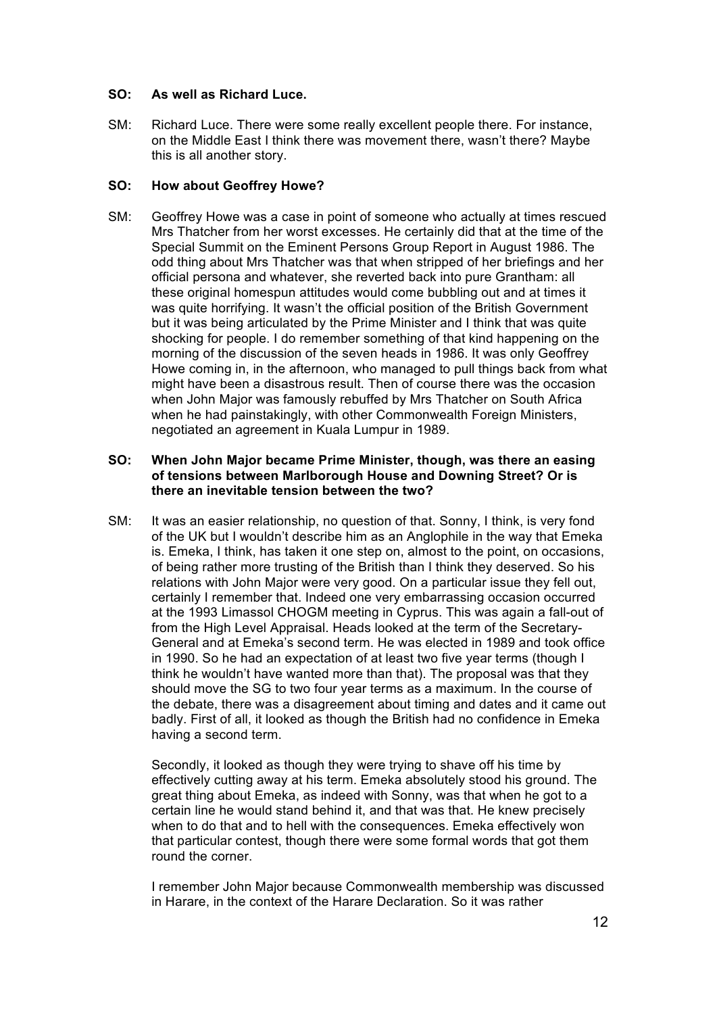# **SO: As well as Richard Luce.**

SM: Richard Luce. There were some really excellent people there. For instance, on the Middle East I think there was movement there, wasn't there? Maybe this is all another story.

# **SO: How about Geoffrey Howe?**

SM: Geoffrey Howe was a case in point of someone who actually at times rescued Mrs Thatcher from her worst excesses. He certainly did that at the time of the Special Summit on the Eminent Persons Group Report in August 1986. The odd thing about Mrs Thatcher was that when stripped of her briefings and her official persona and whatever, she reverted back into pure Grantham: all these original homespun attitudes would come bubbling out and at times it was quite horrifying. It wasn't the official position of the British Government but it was being articulated by the Prime Minister and I think that was quite shocking for people. I do remember something of that kind happening on the morning of the discussion of the seven heads in 1986. It was only Geoffrey Howe coming in, in the afternoon, who managed to pull things back from what might have been a disastrous result. Then of course there was the occasion when John Major was famously rebuffed by Mrs Thatcher on South Africa when he had painstakingly, with other Commonwealth Foreign Ministers, negotiated an agreement in Kuala Lumpur in 1989.

#### **SO: When John Major became Prime Minister, though, was there an easing of tensions between Marlborough House and Downing Street? Or is there an inevitable tension between the two?**

SM: It was an easier relationship, no question of that. Sonny, I think, is very fond of the UK but I wouldn't describe him as an Anglophile in the way that Emeka is. Emeka, I think, has taken it one step on, almost to the point, on occasions, of being rather more trusting of the British than I think they deserved. So his relations with John Major were very good. On a particular issue they fell out, certainly I remember that. Indeed one very embarrassing occasion occurred at the 1993 Limassol CHOGM meeting in Cyprus. This was again a fall-out of from the High Level Appraisal. Heads looked at the term of the Secretary-General and at Emeka's second term. He was elected in 1989 and took office in 1990. So he had an expectation of at least two five year terms (though I think he wouldn't have wanted more than that). The proposal was that they should move the SG to two four year terms as a maximum. In the course of the debate, there was a disagreement about timing and dates and it came out badly. First of all, it looked as though the British had no confidence in Emeka having a second term.

Secondly, it looked as though they were trying to shave off his time by effectively cutting away at his term. Emeka absolutely stood his ground. The great thing about Emeka, as indeed with Sonny, was that when he got to a certain line he would stand behind it, and that was that. He knew precisely when to do that and to hell with the consequences. Emeka effectively won that particular contest, though there were some formal words that got them round the corner.

I remember John Major because Commonwealth membership was discussed in Harare, in the context of the Harare Declaration. So it was rather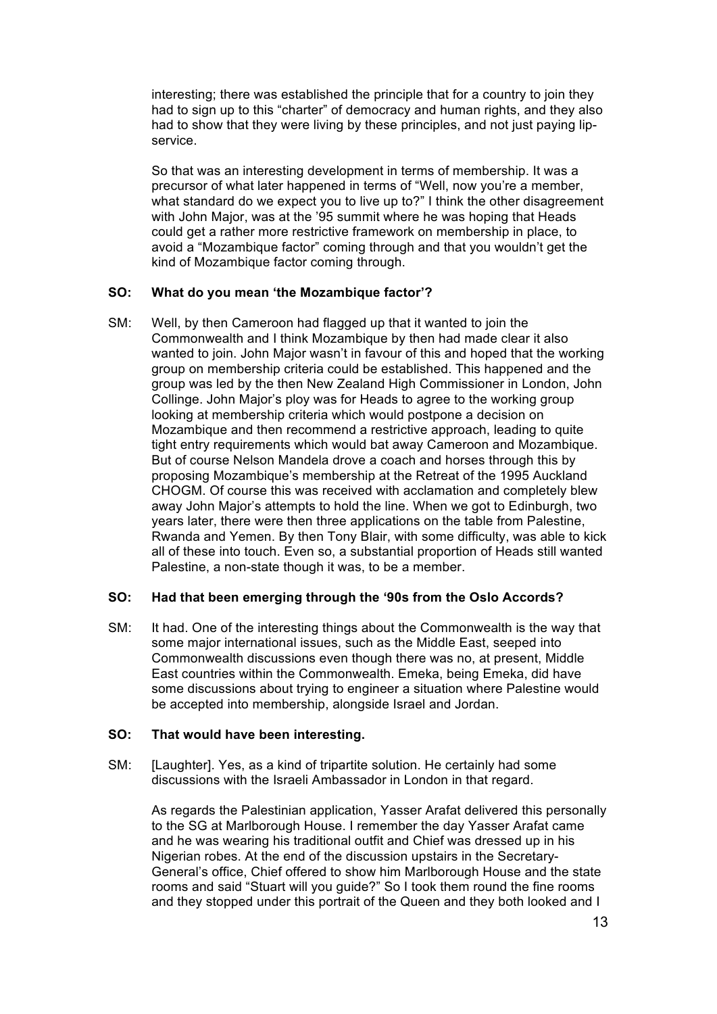interesting; there was established the principle that for a country to join they had to sign up to this "charter" of democracy and human rights, and they also had to show that they were living by these principles, and not just paying lipservice.

So that was an interesting development in terms of membership. It was a precursor of what later happened in terms of "Well, now you're a member, what standard do we expect you to live up to?" I think the other disagreement with John Major, was at the '95 summit where he was hoping that Heads could get a rather more restrictive framework on membership in place, to avoid a "Mozambique factor" coming through and that you wouldn't get the kind of Mozambique factor coming through.

# **SO: What do you mean 'the Mozambique factor'?**

SM: Well, by then Cameroon had flagged up that it wanted to join the Commonwealth and I think Mozambique by then had made clear it also wanted to join. John Major wasn't in favour of this and hoped that the working group on membership criteria could be established. This happened and the group was led by the then New Zealand High Commissioner in London, John Collinge. John Major's ploy was for Heads to agree to the working group looking at membership criteria which would postpone a decision on Mozambique and then recommend a restrictive approach, leading to quite tight entry requirements which would bat away Cameroon and Mozambique. But of course Nelson Mandela drove a coach and horses through this by proposing Mozambique's membership at the Retreat of the 1995 Auckland CHOGM. Of course this was received with acclamation and completely blew away John Major's attempts to hold the line. When we got to Edinburgh, two years later, there were then three applications on the table from Palestine, Rwanda and Yemen. By then Tony Blair, with some difficulty, was able to kick all of these into touch. Even so, a substantial proportion of Heads still wanted Palestine, a non-state though it was, to be a member.

#### **SO: Had that been emerging through the '90s from the Oslo Accords?**

SM: It had. One of the interesting things about the Commonwealth is the way that some major international issues, such as the Middle East, seeped into Commonwealth discussions even though there was no, at present, Middle East countries within the Commonwealth. Emeka, being Emeka, did have some discussions about trying to engineer a situation where Palestine would be accepted into membership, alongside Israel and Jordan.

#### **SO: That would have been interesting.**

SM: [Laughter]. Yes, as a kind of tripartite solution. He certainly had some discussions with the Israeli Ambassador in London in that regard.

As regards the Palestinian application, Yasser Arafat delivered this personally to the SG at Marlborough House. I remember the day Yasser Arafat came and he was wearing his traditional outfit and Chief was dressed up in his Nigerian robes. At the end of the discussion upstairs in the Secretary-General's office, Chief offered to show him Marlborough House and the state rooms and said "Stuart will you guide?" So I took them round the fine rooms and they stopped under this portrait of the Queen and they both looked and I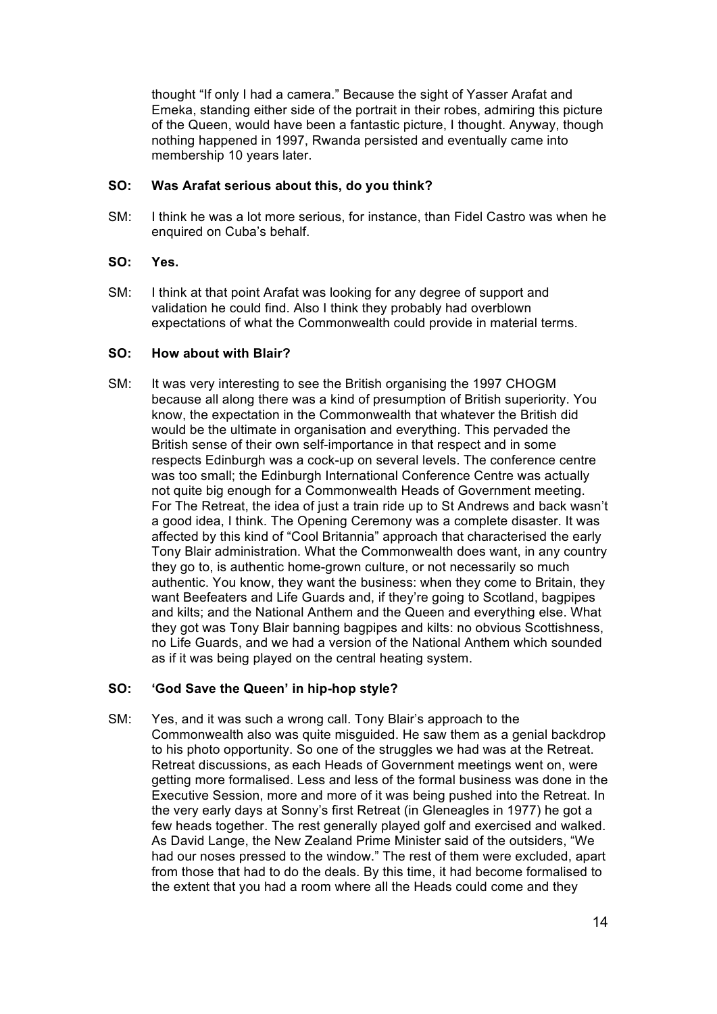thought "If only I had a camera." Because the sight of Yasser Arafat and Emeka, standing either side of the portrait in their robes, admiring this picture of the Queen, would have been a fantastic picture, I thought. Anyway, though nothing happened in 1997, Rwanda persisted and eventually came into membership 10 years later.

# **SO: Was Arafat serious about this, do you think?**

SM: I think he was a lot more serious, for instance, than Fidel Castro was when he enquired on Cuba's behalf.

# **SO: Yes.**

SM: I think at that point Arafat was looking for any degree of support and validation he could find. Also I think they probably had overblown expectations of what the Commonwealth could provide in material terms.

## **SO: How about with Blair?**

SM: It was very interesting to see the British organising the 1997 CHOGM because all along there was a kind of presumption of British superiority. You know, the expectation in the Commonwealth that whatever the British did would be the ultimate in organisation and everything. This pervaded the British sense of their own self-importance in that respect and in some respects Edinburgh was a cock-up on several levels. The conference centre was too small; the Edinburgh International Conference Centre was actually not quite big enough for a Commonwealth Heads of Government meeting. For The Retreat, the idea of just a train ride up to St Andrews and back wasn't a good idea, I think. The Opening Ceremony was a complete disaster. It was affected by this kind of "Cool Britannia" approach that characterised the early Tony Blair administration. What the Commonwealth does want, in any country they go to, is authentic home-grown culture, or not necessarily so much authentic. You know, they want the business: when they come to Britain, they want Beefeaters and Life Guards and, if they're going to Scotland, bagpipes and kilts; and the National Anthem and the Queen and everything else. What they got was Tony Blair banning bagpipes and kilts: no obvious Scottishness, no Life Guards, and we had a version of the National Anthem which sounded as if it was being played on the central heating system.

# **SO: 'God Save the Queen' in hip-hop style?**

SM: Yes, and it was such a wrong call. Tony Blair's approach to the Commonwealth also was quite misguided. He saw them as a genial backdrop to his photo opportunity. So one of the struggles we had was at the Retreat. Retreat discussions, as each Heads of Government meetings went on, were getting more formalised. Less and less of the formal business was done in the Executive Session, more and more of it was being pushed into the Retreat. In the very early days at Sonny's first Retreat (in Gleneagles in 1977) he got a few heads together. The rest generally played golf and exercised and walked. As David Lange, the New Zealand Prime Minister said of the outsiders, "We had our noses pressed to the window." The rest of them were excluded, apart from those that had to do the deals. By this time, it had become formalised to the extent that you had a room where all the Heads could come and they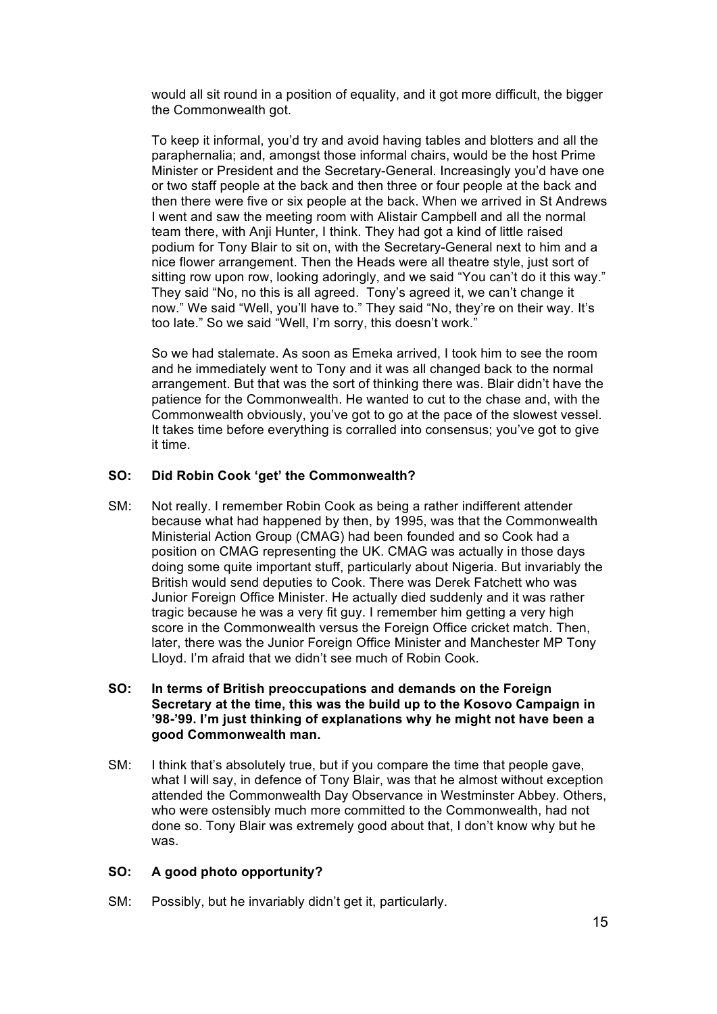would all sit round in a position of equality, and it got more difficult, the bigger the Commonwealth got.

To keep it informal, you'd try and avoid having tables and blotters and all the paraphernalia; and, amongst those informal chairs, would be the host Prime Minister or President and the Secretary-General. Increasingly you'd have one or two staff people at the back and then three or four people at the back and then there were five or six people at the back. When we arrived in St Andrews I went and saw the meeting room with Alistair Campbell and all the normal team there, with Anji Hunter, I think. They had got a kind of little raised podium for Tony Blair to sit on, with the Secretary-General next to him and a nice flower arrangement. Then the Heads were all theatre style, just sort of sitting row upon row, looking adoringly, and we said "You can't do it this way." They said "No, no this is all agreed. Tony's agreed it, we can't change it now." We said "Well, you'll have to." They said "No, they're on their way. It's too late." So we said "Well, I'm sorry, this doesn't work."

So we had stalemate. As soon as Emeka arrived, I took him to see the room and he immediately went to Tony and it was all changed back to the normal arrangement. But that was the sort of thinking there was. Blair didn't have the patience for the Commonwealth. He wanted to cut to the chase and, with the Commonwealth obviously, you've got to go at the pace of the slowest vessel. It takes time before everything is corralled into consensus; you've got to give it time.

## **SO: Did Robin Cook 'get' the Commonwealth?**

- SM: Not really. I remember Robin Cook as being a rather indifferent attender because what had happened by then, by 1995, was that the Commonwealth Ministerial Action Group (CMAG) had been founded and so Cook had a position on CMAG representing the UK. CMAG was actually in those days doing some quite important stuff, particularly about Nigeria. But invariably the British would send deputies to Cook. There was Derek Fatchett who was Junior Foreign Office Minister. He actually died suddenly and it was rather tragic because he was a very fit guy. I remember him getting a very high score in the Commonwealth versus the Foreign Office cricket match. Then, later, there was the Junior Foreign Office Minister and Manchester MP Tony Lloyd. I'm afraid that we didn't see much of Robin Cook.
- **SO: In terms of British preoccupations and demands on the Foreign Secretary at the time, this was the build up to the Kosovo Campaign in '98-'99. I'm just thinking of explanations why he might not have been a good Commonwealth man.**
- SM: I think that's absolutely true, but if you compare the time that people gave, what I will say, in defence of Tony Blair, was that he almost without exception attended the Commonwealth Day Observance in Westminster Abbey. Others, who were ostensibly much more committed to the Commonwealth, had not done so. Tony Blair was extremely good about that, I don't know why but he was.

## **SO: A good photo opportunity?**

SM: Possibly, but he invariably didn't get it, particularly.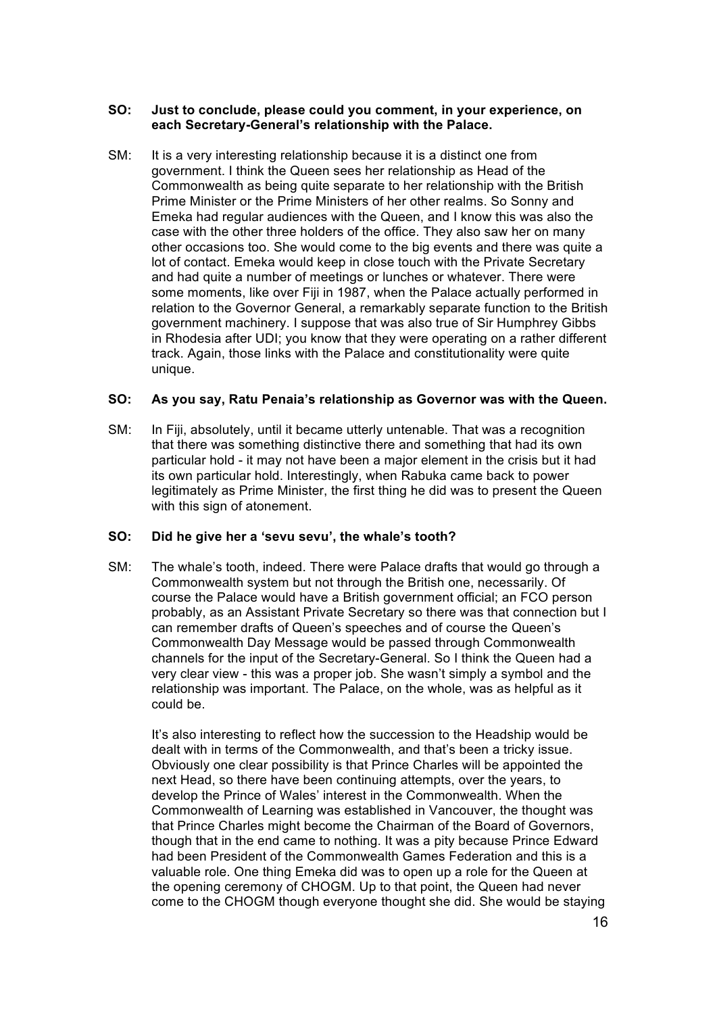#### **SO: Just to conclude, please could you comment, in your experience, on each Secretary-General's relationship with the Palace.**

SM: It is a very interesting relationship because it is a distinct one from government. I think the Queen sees her relationship as Head of the Commonwealth as being quite separate to her relationship with the British Prime Minister or the Prime Ministers of her other realms. So Sonny and Emeka had regular audiences with the Queen, and I know this was also the case with the other three holders of the office. They also saw her on many other occasions too. She would come to the big events and there was quite a lot of contact. Emeka would keep in close touch with the Private Secretary and had quite a number of meetings or lunches or whatever. There were some moments, like over Fiji in 1987, when the Palace actually performed in relation to the Governor General, a remarkably separate function to the British government machinery. I suppose that was also true of Sir Humphrey Gibbs in Rhodesia after UDI; you know that they were operating on a rather different track. Again, those links with the Palace and constitutionality were quite unique.

## **SO: As you say, Ratu Penaia's relationship as Governor was with the Queen.**

SM: In Fiji, absolutely, until it became utterly untenable. That was a recognition that there was something distinctive there and something that had its own particular hold - it may not have been a major element in the crisis but it had its own particular hold. Interestingly, when Rabuka came back to power legitimately as Prime Minister, the first thing he did was to present the Queen with this sign of atonement.

# **SO: Did he give her a 'sevu sevu', the whale's tooth?**

SM: The whale's tooth, indeed. There were Palace drafts that would go through a Commonwealth system but not through the British one, necessarily. Of course the Palace would have a British government official; an FCO person probably, as an Assistant Private Secretary so there was that connection but I can remember drafts of Queen's speeches and of course the Queen's Commonwealth Day Message would be passed through Commonwealth channels for the input of the Secretary-General. So I think the Queen had a very clear view - this was a proper job. She wasn't simply a symbol and the relationship was important. The Palace, on the whole, was as helpful as it could be.

It's also interesting to reflect how the succession to the Headship would be dealt with in terms of the Commonwealth, and that's been a tricky issue. Obviously one clear possibility is that Prince Charles will be appointed the next Head, so there have been continuing attempts, over the years, to develop the Prince of Wales' interest in the Commonwealth. When the Commonwealth of Learning was established in Vancouver, the thought was that Prince Charles might become the Chairman of the Board of Governors, though that in the end came to nothing. It was a pity because Prince Edward had been President of the Commonwealth Games Federation and this is a valuable role. One thing Emeka did was to open up a role for the Queen at the opening ceremony of CHOGM. Up to that point, the Queen had never come to the CHOGM though everyone thought she did. She would be staying